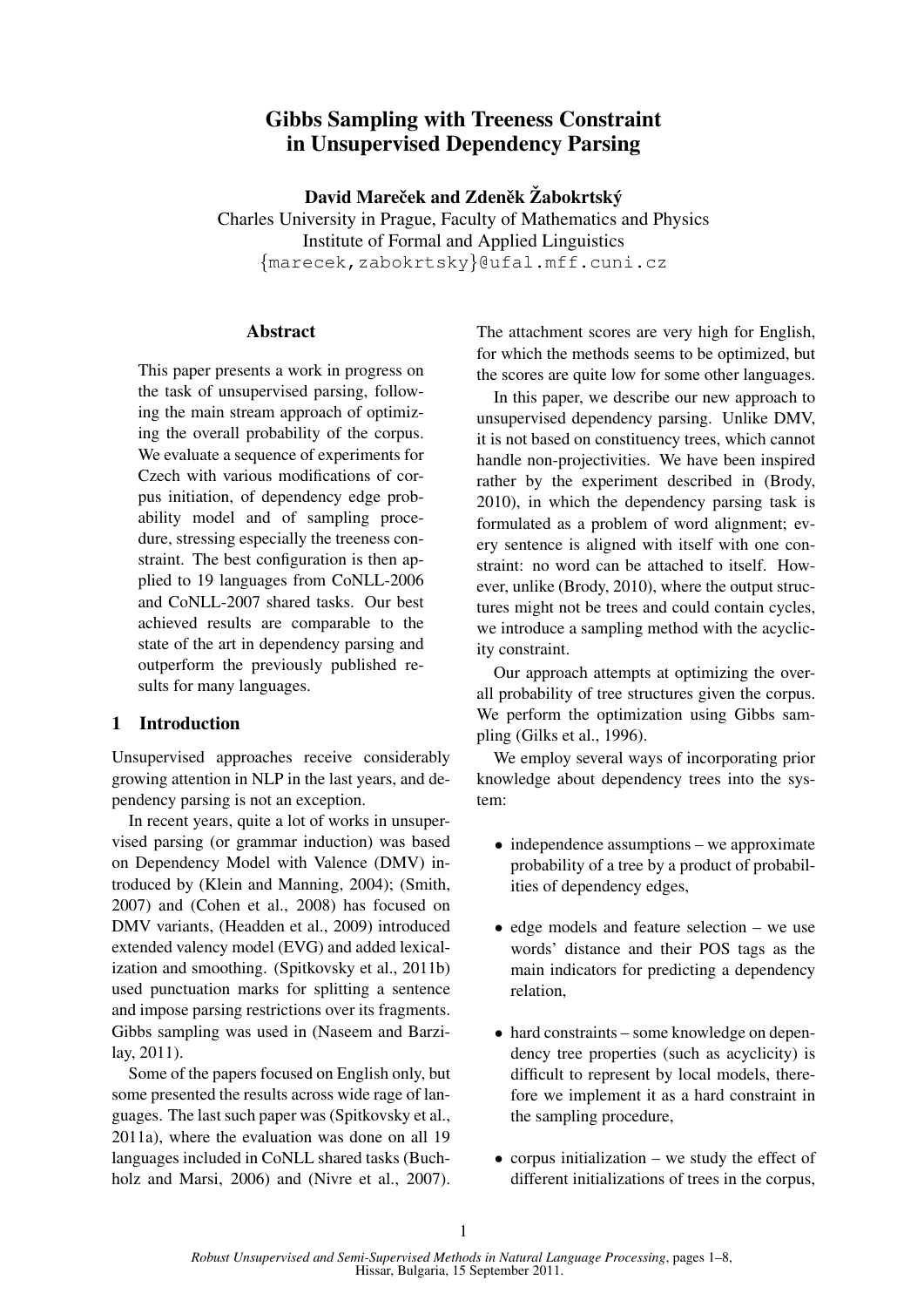# Gibbs Sampling with Treeness Constraint in Unsupervised Dependency Parsing

David Mareček and Zdeněk Žabokrtský

Charles University in Prague, Faculty of Mathematics and Physics Institute of Formal and Applied Linguistics {marecek,zabokrtsky}@ufal.mff.cuni.cz

## Abstract

This paper presents a work in progress on the task of unsupervised parsing, following the main stream approach of optimizing the overall probability of the corpus. We evaluate a sequence of experiments for Czech with various modifications of corpus initiation, of dependency edge probability model and of sampling procedure, stressing especially the treeness constraint. The best configuration is then applied to 19 languages from CoNLL-2006 and CoNLL-2007 shared tasks. Our best achieved results are comparable to the state of the art in dependency parsing and outperform the previously published results for many languages.

## 1 Introduction

Unsupervised approaches receive considerably growing attention in NLP in the last years, and dependency parsing is not an exception.

In recent years, quite a lot of works in unsupervised parsing (or grammar induction) was based on Dependency Model with Valence (DMV) introduced by (Klein and Manning, 2004); (Smith, 2007) and (Cohen et al., 2008) has focused on DMV variants, (Headden et al., 2009) introduced extended valency model (EVG) and added lexicalization and smoothing. (Spitkovsky et al., 2011b) used punctuation marks for splitting a sentence and impose parsing restrictions over its fragments. Gibbs sampling was used in (Naseem and Barzilay, 2011).

Some of the papers focused on English only, but some presented the results across wide rage of languages. The last such paper was (Spitkovsky et al., 2011a), where the evaluation was done on all 19 languages included in CoNLL shared tasks (Buchholz and Marsi, 2006) and (Nivre et al., 2007). The attachment scores are very high for English, for which the methods seems to be optimized, but the scores are quite low for some other languages.

In this paper, we describe our new approach to unsupervised dependency parsing. Unlike DMV, it is not based on constituency trees, which cannot handle non-projectivities. We have been inspired rather by the experiment described in (Brody, 2010), in which the dependency parsing task is formulated as a problem of word alignment; every sentence is aligned with itself with one constraint: no word can be attached to itself. However, unlike (Brody, 2010), where the output structures might not be trees and could contain cycles, we introduce a sampling method with the acyclicity constraint.

Our approach attempts at optimizing the overall probability of tree structures given the corpus. We perform the optimization using Gibbs sampling (Gilks et al., 1996).

We employ several ways of incorporating prior knowledge about dependency trees into the system:

- independence assumptions we approximate probability of a tree by a product of probabilities of dependency edges,
- edge models and feature selection we use words' distance and their POS tags as the main indicators for predicting a dependency relation,
- hard constraints some knowledge on dependency tree properties (such as acyclicity) is difficult to represent by local models, therefore we implement it as a hard constraint in the sampling procedure,
- corpus initialization we study the effect of different initializations of trees in the corpus,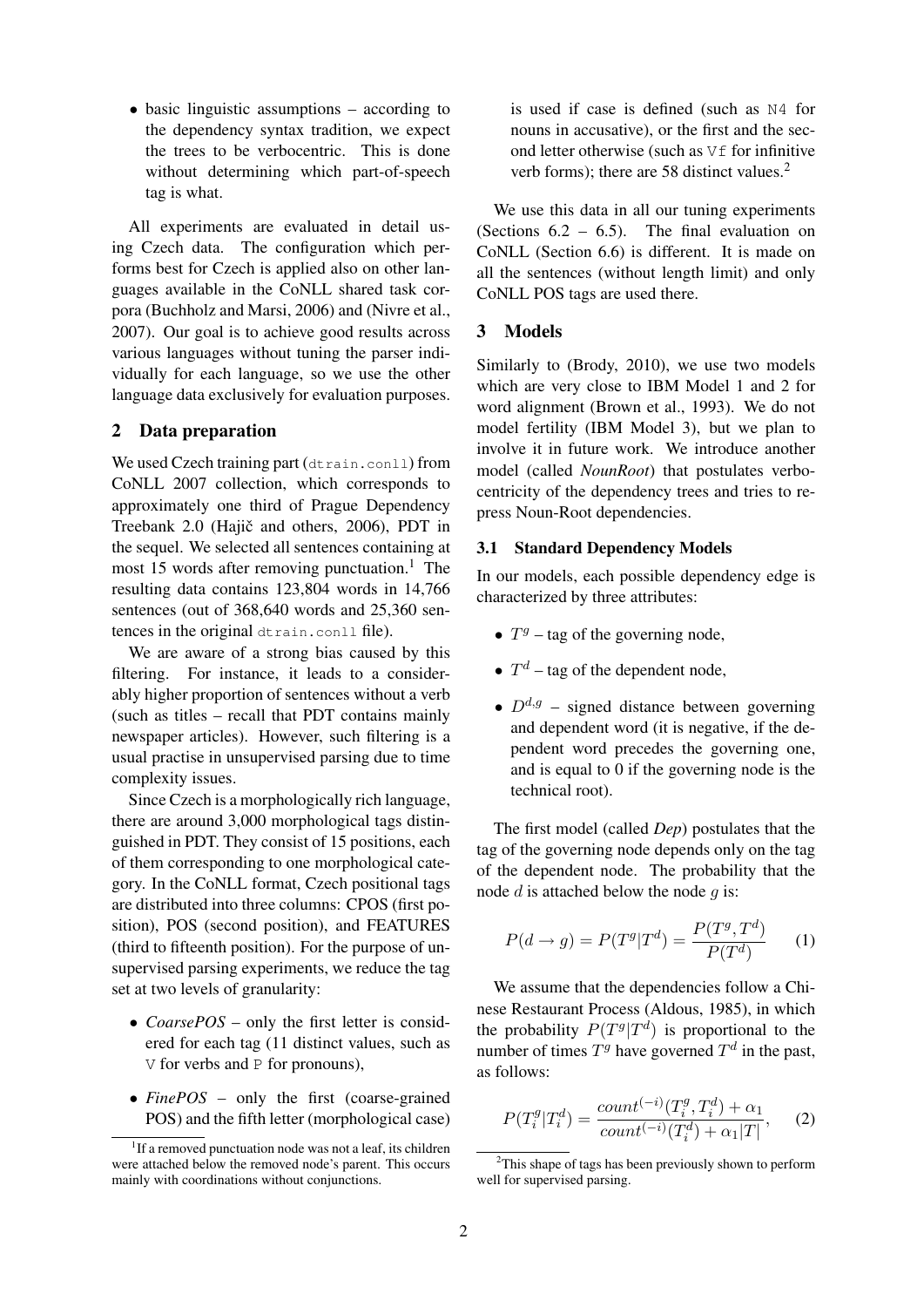• basic linguistic assumptions – according to the dependency syntax tradition, we expect the trees to be verbocentric. This is done without determining which part-of-speech tag is what.

All experiments are evaluated in detail using Czech data. The configuration which performs best for Czech is applied also on other languages available in the CoNLL shared task corpora (Buchholz and Marsi, 2006) and (Nivre et al., 2007). Our goal is to achieve good results across various languages without tuning the parser individually for each language, so we use the other language data exclusively for evaluation purposes.

### 2 Data preparation

We used Czech training part (dtrain.conll) from CoNLL 2007 collection, which corresponds to approximately one third of Prague Dependency Treebank 2.0 (Hajič and others, 2006), PDT in the sequel. We selected all sentences containing at most 15 words after removing punctuation.<sup>1</sup> The resulting data contains 123,804 words in 14,766 sentences (out of 368,640 words and 25,360 sentences in the original dtrain.conll file).

We are aware of a strong bias caused by this filtering. For instance, it leads to a considerably higher proportion of sentences without a verb (such as titles – recall that PDT contains mainly newspaper articles). However, such filtering is a usual practise in unsupervised parsing due to time complexity issues.

Since Czech is a morphologically rich language, there are around 3,000 morphological tags distinguished in PDT. They consist of 15 positions, each of them corresponding to one morphological category. In the CoNLL format, Czech positional tags are distributed into three columns: CPOS (first position), POS (second position), and FEATURES (third to fifteenth position). For the purpose of unsupervised parsing experiments, we reduce the tag set at two levels of granularity:

- *CoarsePOS* only the first letter is considered for each tag (11 distinct values, such as  $V$  for verbs and  $P$  for pronouns).
- *FinePOS* only the first (coarse-grained POS) and the fifth letter (morphological case)

is used if case is defined (such as N4 for nouns in accusative), or the first and the second letter otherwise (such as  $\nabla f$  for infinitive verb forms); there are 58 distinct values.<sup>2</sup>

We use this data in all our tuning experiments (Sections  $6.2 - 6.5$ ). The final evaluation on CoNLL (Section 6.6) is different. It is made on all the sentences (without length limit) and only CoNLL POS tags are used there.

### 3 Models

Similarly to (Brody, 2010), we use two models which are very close to IBM Model 1 and 2 for word alignment (Brown et al., 1993). We do not model fertility (IBM Model 3), but we plan to involve it in future work. We introduce another model (called *NounRoot*) that postulates verbocentricity of the dependency trees and tries to repress Noun-Root dependencies.

#### 3.1 Standard Dependency Models

In our models, each possible dependency edge is characterized by three attributes:

- $T<sup>g</sup>$  tag of the governing node,
- $T^d$  tag of the dependent node,
- $D^{d,g}$  signed distance between governing and dependent word (it is negative, if the dependent word precedes the governing one, and is equal to 0 if the governing node is the technical root).

The first model (called *Dep*) postulates that the tag of the governing node depends only on the tag of the dependent node. The probability that the node  $d$  is attached below the node  $q$  is:

$$
P(d \to g) = P(T^g | T^d) = \frac{P(T^g, T^d)}{P(T^d)} \tag{1}
$$

We assume that the dependencies follow a Chinese Restaurant Process (Aldous, 1985), in which the probability  $P(T^g | T^d)$  is proportional to the number of times  $T<sup>g</sup>$  have governed  $T<sup>d</sup>$  in the past, as follows:

$$
P(T_i^g | T_i^d) = \frac{count^{(-i)}(T_i^g, T_i^d) + \alpha_1}{count^{(-i)}(T_i^d) + \alpha_1|T|}, \quad (2)
$$

<sup>&</sup>lt;sup>1</sup>If a removed punctuation node was not a leaf, its children were attached below the removed node's parent. This occurs mainly with coordinations without conjunctions.

 $2$ This shape of tags has been previously shown to perform well for supervised parsing.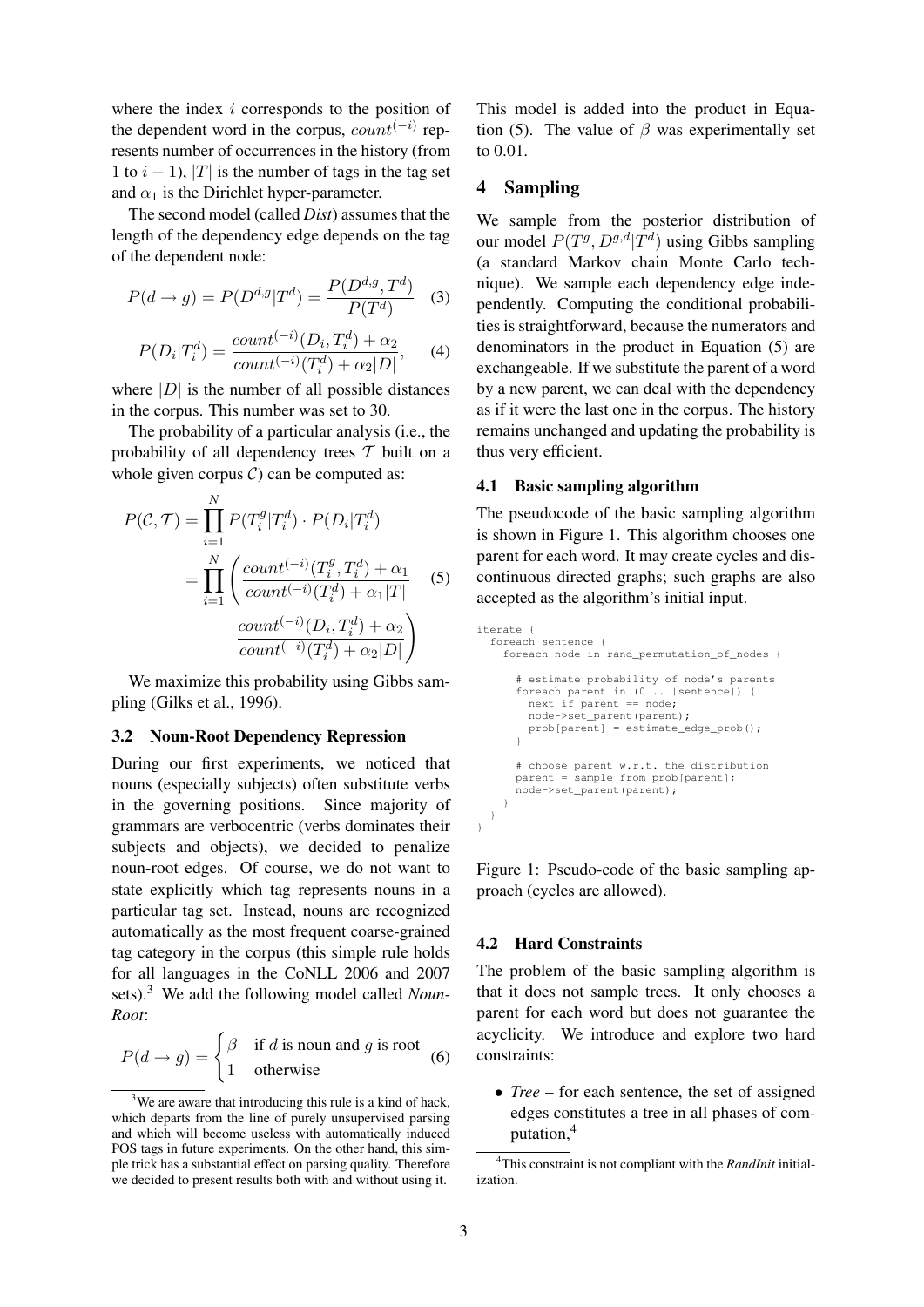where the index  $i$  corresponds to the position of the dependent word in the corpus,  $count^{(-i)}$  represents number of occurrences in the history (from 1 to  $i - 1$ ), |T| is the number of tags in the tag set and  $\alpha_1$  is the Dirichlet hyper-parameter.

The second model (called *Dist*) assumes that the length of the dependency edge depends on the tag of the dependent node:

$$
P(d \to g) = P(D^{d,g}|T^d) = \frac{P(D^{d,g}, T^d)}{P(T^d)}
$$
 (3)

$$
P(D_i|T_i^d) = \frac{count^{(-i)}(D_i, T_i^d) + \alpha_2}{count^{(-i)}(T_i^d) + \alpha_2|D|}, \quad (4)
$$

where  $|D|$  is the number of all possible distances in the corpus. This number was set to 30.

The probability of a particular analysis (i.e., the probability of all dependency trees  $T$  built on a whole given corpus  $C$ ) can be computed as:

$$
P(C, T) = \prod_{i=1}^{N} P(T_i^g | T_i^d) \cdot P(D_i | T_i^d)
$$
  
= 
$$
\prod_{i=1}^{N} \left( \frac{count^{(-i)}(T_i^g, T_i^d) + \alpha_1}{count^{(-i)}(T_i^d) + \alpha_1 | T |} \right)
$$
 (5)  

$$
\frac{count^{(-i)}(D_i, T_i^d) + \alpha_2}{count^{(-i)}(T_i^d) + \alpha_2 | D |}
$$

We maximize this probability using Gibbs sampling (Gilks et al., 1996).

#### 3.2 Noun-Root Dependency Repression

During our first experiments, we noticed that nouns (especially subjects) often substitute verbs in the governing positions. Since majority of grammars are verbocentric (verbs dominates their subjects and objects), we decided to penalize noun-root edges. Of course, we do not want to state explicitly which tag represents nouns in a particular tag set. Instead, nouns are recognized automatically as the most frequent coarse-grained tag category in the corpus (this simple rule holds for all languages in the CoNLL 2006 and 2007 sets).<sup>3</sup> We add the following model called *Noun-Root*:

$$
P(d \to g) = \begin{cases} \beta & \text{if } d \text{ is noun and } g \text{ is root} \\ 1 & \text{otherwise} \end{cases}
$$
 (6)

This model is added into the product in Equation (5). The value of  $\beta$  was experimentally set to 0.01.

## 4 Sampling

We sample from the posterior distribution of our model  $P(T^g, D^{g,d} | T^d)$  using Gibbs sampling (a standard Markov chain Monte Carlo technique). We sample each dependency edge independently. Computing the conditional probabilities is straightforward, because the numerators and denominators in the product in Equation (5) are exchangeable. If we substitute the parent of a word by a new parent, we can deal with the dependency as if it were the last one in the corpus. The history remains unchanged and updating the probability is thus very efficient.

#### 4.1 Basic sampling algorithm

The pseudocode of the basic sampling algorithm is shown in Figure 1. This algorithm chooses one parent for each word. It may create cycles and discontinuous directed graphs; such graphs are also accepted as the algorithm's initial input.

```
iterate {
  foreach sentence {
    foreach node in rand_permutation_of_nodes {
      # estimate probability of node's parents
      foreach parent in (0 .. |sentence|) {
next if parent == node;
        node->set_parent(parent);
        prob[parent] = estimate_edge_prob();
      \overline{1}# choose parent w.r.t. the distribution
      parent = sample from prob[parent];
      node->set_parent(parent);
    }
 }
}
```
Figure 1: Pseudo-code of the basic sampling approach (cycles are allowed).

#### 4.2 Hard Constraints

The problem of the basic sampling algorithm is that it does not sample trees. It only chooses a parent for each word but does not guarantee the acyclicity. We introduce and explore two hard constraints:

• *Tree* – for each sentence, the set of assigned edges constitutes a tree in all phases of computation,<sup>4</sup>

<sup>&</sup>lt;sup>3</sup>We are aware that introducing this rule is a kind of hack, which departs from the line of purely unsupervised parsing and which will become useless with automatically induced POS tags in future experiments. On the other hand, this simple trick has a substantial effect on parsing quality. Therefore we decided to present results both with and without using it.

<sup>4</sup>This constraint is not compliant with the *RandInit* initialization.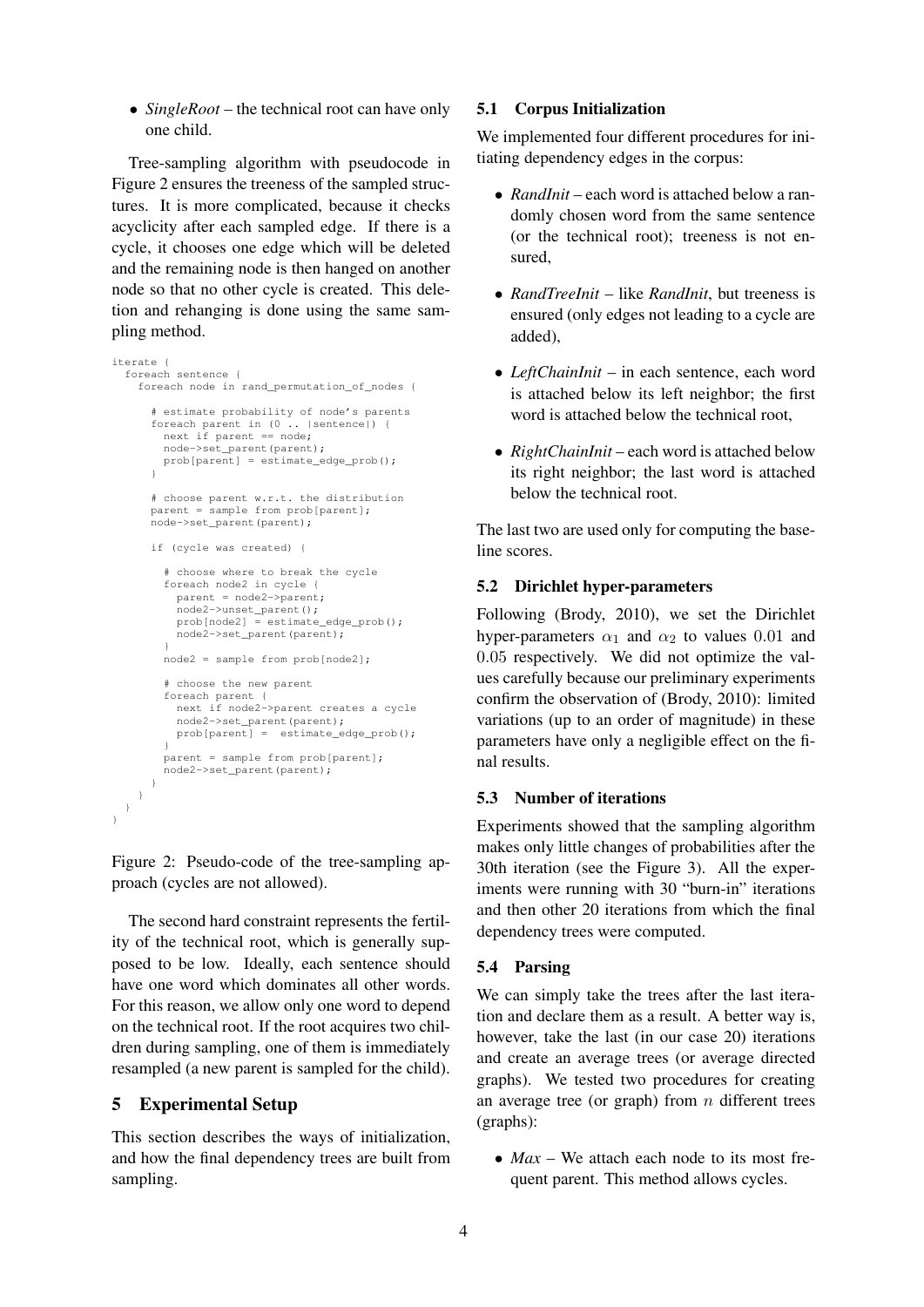• *SingleRoot* – the technical root can have only one child.

Tree-sampling algorithm with pseudocode in Figure 2 ensures the treeness of the sampled structures. It is more complicated, because it checks acyclicity after each sampled edge. If there is a cycle, it chooses one edge which will be deleted and the remaining node is then hanged on another node so that no other cycle is created. This deletion and rehanging is done using the same sampling method.

```
iterate {
 foreach sentence {
    foreach node in rand_permutation_of_nodes {
      # estimate probability of node's parents
      foreach parent in (0 .. |sentence|) {
        next if parent == node;
        node->set_parent(parent);
       prob[parent] = estimate\;edge\;prob();\overline{1}# choose parent w.r.t. the distribution
      parent = sample from prob[parent];
      node->set_parent(parent);
      if (cycle was created) {
        # choose where to break the cycle
        foreach node2 in cycle {
          parent = node2->parent;
          node2->unset_parent();
          prob[node2] = estimate_edge_prob();
          node2->set_parent(parent);
        }
        node2 = sample from prob[node2];
        # choose the new parent
        foreach parent {
          next if node2->parent creates a cycle
          node2->set_parent(parent);
          prob[parent] = estimate_edge_prob();
        }
        parent = sample from prob[parent];
       node2->set_parent(parent);
     }
   }
 }
\mathbf{r}
```
Figure 2: Pseudo-code of the tree-sampling approach (cycles are not allowed).

The second hard constraint represents the fertility of the technical root, which is generally supposed to be low. Ideally, each sentence should have one word which dominates all other words. For this reason, we allow only one word to depend on the technical root. If the root acquires two children during sampling, one of them is immediately resampled (a new parent is sampled for the child).

## 5 Experimental Setup

This section describes the ways of initialization, and how the final dependency trees are built from sampling.

#### 5.1 Corpus Initialization

We implemented four different procedures for initiating dependency edges in the corpus:

- *RandInit* each word is attached below a randomly chosen word from the same sentence (or the technical root); treeness is not ensured,
- *RandTreeInit* like *RandInit*, but treeness is ensured (only edges not leading to a cycle are added),
- *LeftChainInit* in each sentence, each word is attached below its left neighbor; the first word is attached below the technical root,
- *RightChainInit* each word is attached below its right neighbor; the last word is attached below the technical root.

The last two are used only for computing the baseline scores.

#### 5.2 Dirichlet hyper-parameters

Following (Brody, 2010), we set the Dirichlet hyper-parameters  $\alpha_1$  and  $\alpha_2$  to values 0.01 and 0.05 respectively. We did not optimize the values carefully because our preliminary experiments confirm the observation of (Brody, 2010): limited variations (up to an order of magnitude) in these parameters have only a negligible effect on the final results.

### 5.3 Number of iterations

Experiments showed that the sampling algorithm makes only little changes of probabilities after the 30th iteration (see the Figure 3). All the experiments were running with 30 "burn-in" iterations and then other 20 iterations from which the final dependency trees were computed.

### 5.4 Parsing

We can simply take the trees after the last iteration and declare them as a result. A better way is, however, take the last (in our case 20) iterations and create an average trees (or average directed graphs). We tested two procedures for creating an average tree (or graph) from  $n$  different trees (graphs):

• *Max* – We attach each node to its most frequent parent. This method allows cycles.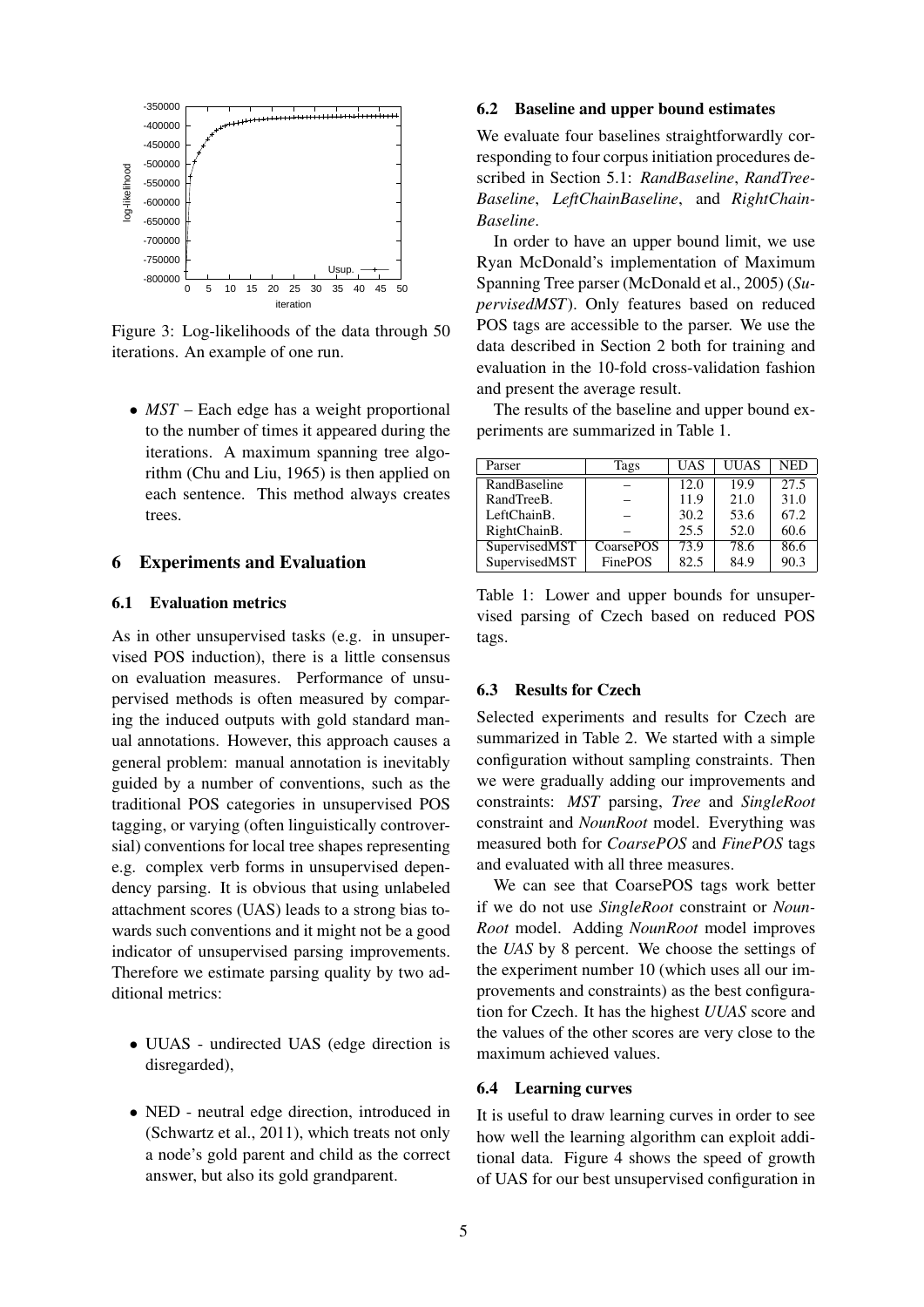

Figure 3: Log-likelihoods of the data through 50 iterations. An example of one run.

• *MST* – Each edge has a weight proportional to the number of times it appeared during the iterations. A maximum spanning tree algorithm (Chu and Liu, 1965) is then applied on each sentence. This method always creates trees.

### 6 Experiments and Evaluation

## 6.1 Evaluation metrics

As in other unsupervised tasks (e.g. in unsupervised POS induction), there is a little consensus on evaluation measures. Performance of unsupervised methods is often measured by comparing the induced outputs with gold standard manual annotations. However, this approach causes a general problem: manual annotation is inevitably guided by a number of conventions, such as the traditional POS categories in unsupervised POS tagging, or varying (often linguistically controversial) conventions for local tree shapes representing e.g. complex verb forms in unsupervised dependency parsing. It is obvious that using unlabeled attachment scores (UAS) leads to a strong bias towards such conventions and it might not be a good indicator of unsupervised parsing improvements. Therefore we estimate parsing quality by two additional metrics:

- UUAS undirected UAS (edge direction is disregarded),
- NED neutral edge direction, introduced in (Schwartz et al., 2011), which treats not only a node's gold parent and child as the correct answer, but also its gold grandparent.

#### 6.2 Baseline and upper bound estimates

We evaluate four baselines straightforwardly corresponding to four corpus initiation procedures described in Section 5.1: *RandBaseline*, *RandTree-Baseline*, *LeftChainBaseline*, and *RightChain-Baseline*.

In order to have an upper bound limit, we use Ryan McDonald's implementation of Maximum Spanning Tree parser (McDonald et al., 2005) (*SupervisedMST*). Only features based on reduced POS tags are accessible to the parser. We use the data described in Section 2 both for training and evaluation in the 10-fold cross-validation fashion and present the average result.

The results of the baseline and upper bound experiments are summarized in Table 1.

| Parser        | Tags           | <b>UAS</b> | <b>UUAS</b> | <b>NED</b> |
|---------------|----------------|------------|-------------|------------|
| RandBaseline  |                | 12.0       | 19.9        | 27.5       |
| RandTreeB.    |                | 11.9       | 21.0        | 31.0       |
| LeftChainB.   |                | 30.2       | 67.2        |            |
| RightChainB.  |                | 25.5       | 52.0        | 60.6       |
| SupervisedMST | CoarsePOS      | 73.9       | 78.6        | 86.6       |
| SupervisedMST | <b>FinePOS</b> | 82.5       | 84.9        | 90.3       |

Table 1: Lower and upper bounds for unsupervised parsing of Czech based on reduced POS tags.

### 6.3 Results for Czech

Selected experiments and results for Czech are summarized in Table 2. We started with a simple configuration without sampling constraints. Then we were gradually adding our improvements and constraints: *MST* parsing, *Tree* and *SingleRoot* constraint and *NounRoot* model. Everything was measured both for *CoarsePOS* and *FinePOS* tags and evaluated with all three measures.

We can see that CoarsePOS tags work better if we do not use *SingleRoot* constraint or *Noun-Root* model. Adding *NounRoot* model improves the *UAS* by 8 percent. We choose the settings of the experiment number 10 (which uses all our improvements and constraints) as the best configuration for Czech. It has the highest *UUAS* score and the values of the other scores are very close to the maximum achieved values.

#### 6.4 Learning curves

It is useful to draw learning curves in order to see how well the learning algorithm can exploit additional data. Figure 4 shows the speed of growth of UAS for our best unsupervised configuration in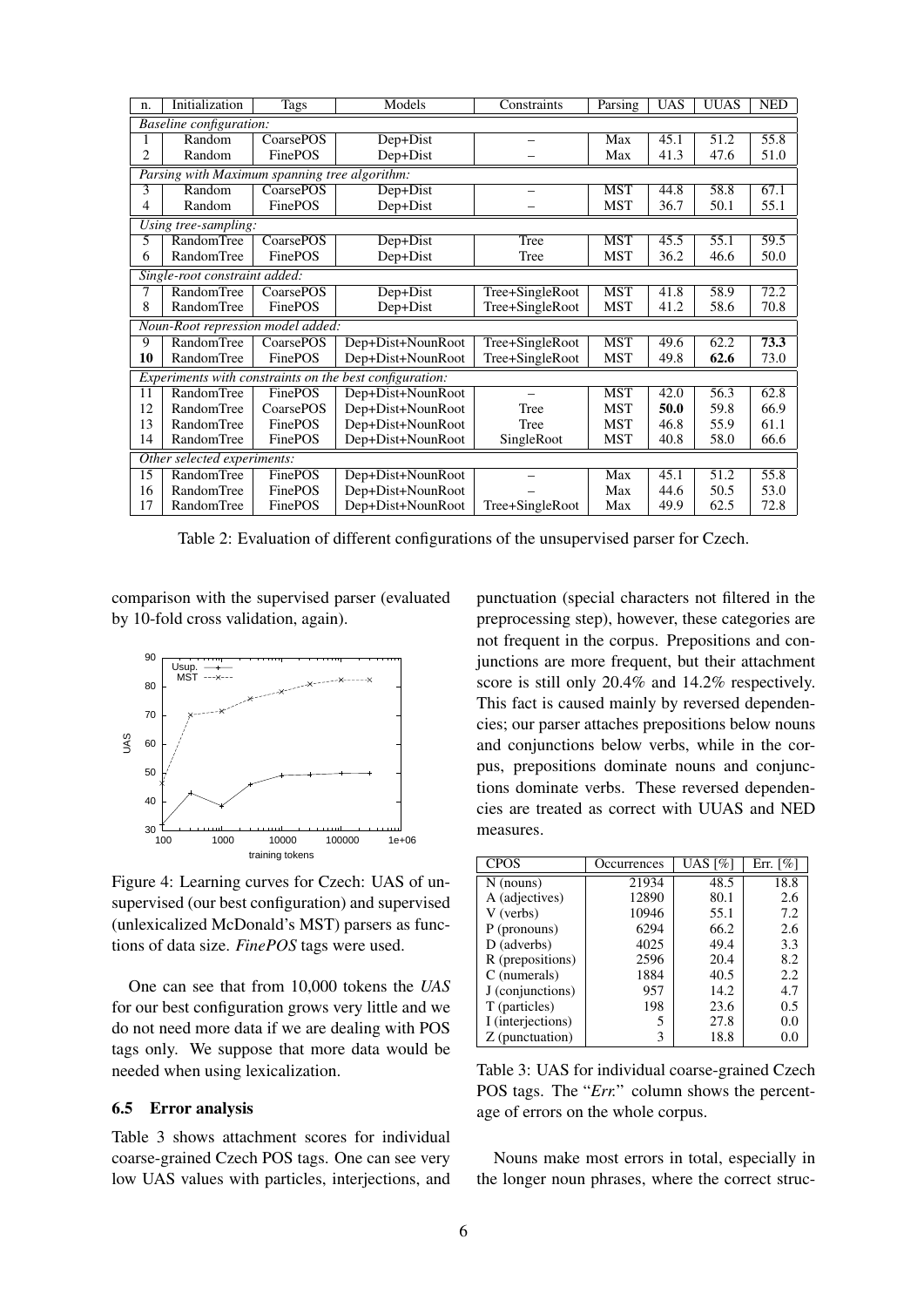| n.                          | Initialization                                          | Tags             | Models                               | Constraints     | Parsing    | UAS  | <b>UUAS</b>       | <b>NED</b> |  |  |
|-----------------------------|---------------------------------------------------------|------------------|--------------------------------------|-----------------|------------|------|-------------------|------------|--|--|
|                             | <i>Baseline configuration:</i>                          |                  |                                      |                 |            |      |                   |            |  |  |
|                             | Random                                                  | CoarsePOS        | Dep+Dist                             |                 | Max        | 45.1 | 51.2              | 55.8       |  |  |
| 2                           | Random                                                  | FinePOS          | Dep+Dist                             |                 | Max        | 41.3 | 47.6              | 51.0       |  |  |
|                             | Parsing with Maximum spanning tree algorithm:           |                  |                                      |                 |            |      |                   |            |  |  |
| 3                           | Random                                                  | <b>CoarsePOS</b> | Dep+Dist                             |                 | <b>MST</b> | 44.8 | 58.8              | 67.1       |  |  |
| 4                           | Random                                                  | FinePOS          | Dep+Dist                             |                 |            | 36.7 | 50.1              | 55.1       |  |  |
|                             | Using tree-sampling:                                    |                  |                                      |                 |            |      |                   |            |  |  |
| 5                           | <b>RandomTree</b>                                       | CoarsePOS        | Dep+Dist                             | Tree            | <b>MST</b> | 45.5 | $\overline{55.1}$ | 59.5       |  |  |
| 6                           | RandomTree                                              | FinePOS          | Dep+Dist                             | Tree            | <b>MST</b> | 36.2 | 46.6              | 50.0       |  |  |
|                             | Single-root constraint added:                           |                  |                                      |                 |            |      |                   |            |  |  |
|                             | RandomTree                                              | CoarsePOS        | Tree+SingleRoot<br>Dep+Dist          |                 | <b>MST</b> | 41.8 | 58.9              | 72.2       |  |  |
| 8                           | RandomTree                                              | FinePOS          | Dep+Dist                             | Tree+SingleRoot |            | 41.2 | 58.6              | 70.8       |  |  |
|                             | Noun-Root repression model added:                       |                  |                                      |                 |            |      |                   |            |  |  |
| 9                           | <b>RandomTree</b>                                       | CoarsePOS        | Dep+Dist+NounRoot<br>Tree+SingleRoot |                 | <b>MST</b> | 49.6 | 62.2              | 73.3       |  |  |
| 10                          | RandomTree                                              | FinePOS          | Dep+Dist+NounRoot                    | Tree+SingleRoot | <b>MST</b> | 49.8 | 62.6              | 73.0       |  |  |
|                             | Experiments with constraints on the best configuration: |                  |                                      |                 |            |      |                   |            |  |  |
| 11                          | <b>RandomTree</b>                                       | FinePOS          | Dep+Dist+NounRoot                    |                 | <b>MST</b> | 42.0 | 56.3              | 62.8       |  |  |
| 12                          | RandomTree                                              | CoarsePOS        | Dep+Dist+NounRoot                    | Tree            | MST        | 50.0 | 59.8              | 66.9       |  |  |
| 13                          | RandomTree                                              | FinePOS          | Dep+Dist+NounRoot                    | Tree            | <b>MST</b> | 46.8 | 55.9              | 61.1       |  |  |
| 14                          | RandomTree                                              | FinePOS          | Dep+Dist+NounRoot                    | SingleRoot      | MST        | 40.8 | 58.0              | 66.6       |  |  |
| Other selected experiments: |                                                         |                  |                                      |                 |            |      |                   |            |  |  |
| $\overline{15}$             | <b>RandomTree</b>                                       | <b>FinePOS</b>   | Dep+Dist+NounRoot                    |                 | Max        | 45.1 | 51.2              | 55.8       |  |  |
| 16                          | RandomTree                                              | FinePOS          | Dep+Dist+NounRoot                    |                 | Max        | 44.6 | 50.5              | 53.0       |  |  |
| 17                          | <b>RandomTree</b>                                       | FinePOS          | Dep+Dist+NounRoot                    | Tree+SingleRoot | Max        | 49.9 | 62.5              | 72.8       |  |  |

Table 2: Evaluation of different configurations of the unsupervised parser for Czech.

comparison with the supervised parser (evaluated by 10-fold cross validation, again).



Figure 4: Learning curves for Czech: UAS of unsupervised (our best configuration) and supervised (unlexicalized McDonald's MST) parsers as functions of data size. *FinePOS* tags were used.

One can see that from 10,000 tokens the *UAS* for our best configuration grows very little and we do not need more data if we are dealing with POS tags only. We suppose that more data would be needed when using lexicalization.

#### 6.5 Error analysis

Table 3 shows attachment scores for individual coarse-grained Czech POS tags. One can see very low UAS values with particles, interjections, and

punctuation (special characters not filtered in the preprocessing step), however, these categories are not frequent in the corpus. Prepositions and conjunctions are more frequent, but their attachment score is still only 20.4% and 14.2% respectively. This fact is caused mainly by reversed dependencies; our parser attaches prepositions below nouns and conjunctions below verbs, while in the corpus, prepositions dominate nouns and conjunctions dominate verbs. These reversed dependencies are treated as correct with UUAS and NED measures.

| <b>CPOS</b>       | Occurrences | UAS [%] | Err. $\lceil \% \rceil$ |
|-------------------|-------------|---------|-------------------------|
| $N$ (nouns)       | 21934       | 48.5    | 18.8                    |
| A (adjectives)    | 12890       | 80.1    | 2.6                     |
| V (verbs)         | 10946       | 55.1    | 7.2                     |
| P (pronouns)      | 6294        | 66.2    | 2.6                     |
| D (adverbs)       | 4025        | 49.4    | 3.3                     |
| R (prepositions)  | 2596        | 20.4    | 8.2                     |
| $C$ (numerals)    | 1884        | 40.5    | 2.2                     |
| J (conjunctions)  | 957         | 14.2    | 4.7                     |
| T (particles)     | 198         | 23.6    | 0.5                     |
| I (interjections) | 5           | 27.8    | 0.0                     |
| Z (punctuation)   | 3           | 18.8    | 0.0                     |

Table 3: UAS for individual coarse-grained Czech POS tags. The "*Err.*" column shows the percentage of errors on the whole corpus.

Nouns make most errors in total, especially in the longer noun phrases, where the correct struc-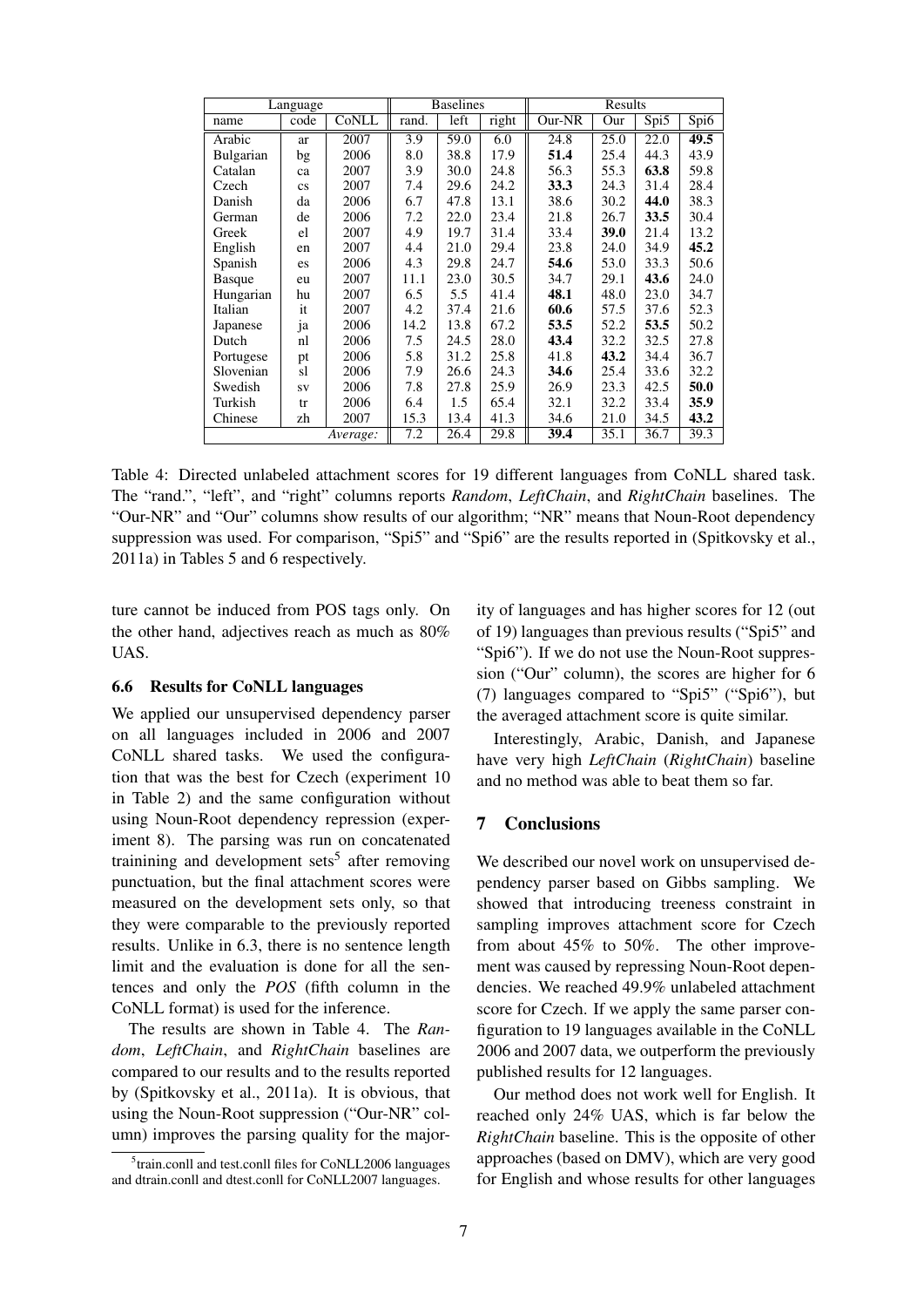| Language         |                        |       |       | <b>Baselines</b> |       | Results |      |      |      |
|------------------|------------------------|-------|-------|------------------|-------|---------|------|------|------|
| name             | code                   | CoNLL | rand. | left             | right | Our-NR  | Our  | Spi5 | Spi6 |
| Arabic           | ar                     | 2007  | 3.9   | 59.0             | 6.0   | 24.8    | 25.0 | 22.0 | 49.5 |
| <b>Bulgarian</b> | bg                     | 2006  | 8.0   | 38.8             | 17.9  | 51.4    | 25.4 | 44.3 | 43.9 |
| Catalan          | ca                     | 2007  | 3.9   | 30.0             | 24.8  | 56.3    | 55.3 | 63.8 | 59.8 |
| Czech            | $\mathbf{c}\mathbf{s}$ | 2007  | 7.4   | 29.6             | 24.2  | 33.3    | 24.3 | 31.4 | 28.4 |
| Danish           | da                     | 2006  | 6.7   | 47.8             | 13.1  | 38.6    | 30.2 | 44.0 | 38.3 |
| German           | de                     | 2006  | 7.2   | 22.0             | 23.4  | 21.8    | 26.7 | 33.5 | 30.4 |
| Greek            | el                     | 2007  | 4.9   | 19.7             | 31.4  | 33.4    | 39.0 | 21.4 | 13.2 |
| English          | en                     | 2007  | 4.4   | 21.0             | 29.4  | 23.8    | 24.0 | 34.9 | 45.2 |
| Spanish          | es                     | 2006  | 4.3   | 29.8             | 24.7  | 54.6    | 53.0 | 33.3 | 50.6 |
| <b>Basque</b>    | eu                     | 2007  | 11.1  | 23.0             | 30.5  | 34.7    | 29.1 | 43.6 | 24.0 |
| Hungarian        | hu                     | 2007  | 6.5   | 5.5              | 41.4  | 48.1    | 48.0 | 23.0 | 34.7 |
| Italian          | it                     | 2007  | 4.2   | 37.4             | 21.6  | 60.6    | 57.5 | 37.6 | 52.3 |
| Japanese         | ja                     | 2006  | 14.2  | 13.8             | 67.2  | 53.5    | 52.2 | 53.5 | 50.2 |
| Dutch            | nl                     | 2006  | 7.5   | 24.5             | 28.0  | 43.4    | 32.2 | 32.5 | 27.8 |
| Portugese        | pt                     | 2006  | 5.8   | 31.2             | 25.8  | 41.8    | 43.2 | 34.4 | 36.7 |
| Slovenian        | sl                     | 2006  | 7.9   | 26.6             | 24.3  | 34.6    | 25.4 | 33.6 | 32.2 |
| Swedish          | SV                     | 2006  | 7.8   | 27.8             | 25.9  | 26.9    | 23.3 | 42.5 | 50.0 |
| Turkish          | tr                     | 2006  | 6.4   | 1.5              | 65.4  | 32.1    | 32.2 | 33.4 | 35.9 |
| Chinese          | zh                     | 2007  | 15.3  | 13.4             | 41.3  | 34.6    | 21.0 | 34.5 | 43.2 |
| Average:         |                        |       | 7.2   | 26.4             | 29.8  | 39.4    | 35.1 | 36.7 | 39.3 |

Table 4: Directed unlabeled attachment scores for 19 different languages from CoNLL shared task. The "rand.", "left", and "right" columns reports *Random*, *LeftChain*, and *RightChain* baselines. The "Our-NR" and "Our" columns show results of our algorithm; "NR" means that Noun-Root dependency suppression was used. For comparison, "Spi5" and "Spi6" are the results reported in (Spitkovsky et al., 2011a) in Tables 5 and 6 respectively.

ture cannot be induced from POS tags only. On the other hand, adjectives reach as much as 80% UAS.

### 6.6 Results for CoNLL languages

We applied our unsupervised dependency parser on all languages included in 2006 and 2007 CoNLL shared tasks. We used the configuration that was the best for Czech (experiment 10 in Table 2) and the same configuration without using Noun-Root dependency repression (experiment 8). The parsing was run on concatenated trainining and development sets<sup>5</sup> after removing punctuation, but the final attachment scores were measured on the development sets only, so that they were comparable to the previously reported results. Unlike in 6.3, there is no sentence length limit and the evaluation is done for all the sentences and only the *POS* (fifth column in the CoNLL format) is used for the inference.

The results are shown in Table 4. The *Random*, *LeftChain*, and *RightChain* baselines are compared to our results and to the results reported by (Spitkovsky et al., 2011a). It is obvious, that using the Noun-Root suppression ("Our-NR" column) improves the parsing quality for the majority of languages and has higher scores for 12 (out of 19) languages than previous results ("Spi5" and "Spi6"). If we do not use the Noun-Root suppression ("Our" column), the scores are higher for 6 (7) languages compared to "Spi5" ("Spi6"), but the averaged attachment score is quite similar.

Interestingly, Arabic, Danish, and Japanese have very high *LeftChain* (*RightChain*) baseline and no method was able to beat them so far.

## 7 Conclusions

We described our novel work on unsupervised dependency parser based on Gibbs sampling. We showed that introducing treeness constraint in sampling improves attachment score for Czech from about 45% to 50%. The other improvement was caused by repressing Noun-Root dependencies. We reached 49.9% unlabeled attachment score for Czech. If we apply the same parser configuration to 19 languages available in the CoNLL 2006 and 2007 data, we outperform the previously published results for 12 languages.

Our method does not work well for English. It reached only 24% UAS, which is far below the *RightChain* baseline. This is the opposite of other approaches (based on DMV), which are very good for English and whose results for other languages

<sup>&</sup>lt;sup>5</sup>train.conll and test.conll files for CoNLL2006 languages and dtrain.conll and dtest.conll for CoNLL2007 languages.